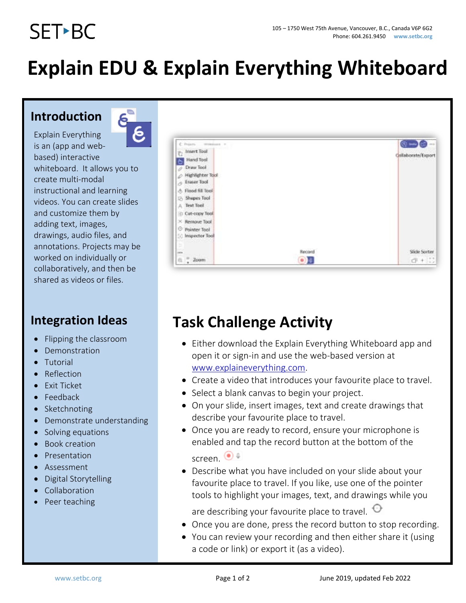# **SET-BC**

## **Explain EDU & Explain Everything Whiteboard**

#### **Introduction**



Explain Everything is an (app and webbased) interactive whiteboard. It allows you to create multi-modal instructional and learning videos. You can create slides and customize them by adding text, images, drawings, audio files, and annotations. Projects may be worked on individually or collaboratively, and then be shared as videos or files.

### **Integration Ideas**

- Flipping the classroom
- **Demonstration**
- **Tutorial**
- Reflection
- Exit Ticket
- Feedback
- Sketchnoting
- Demonstrate understanding
- Solving equations
- Book creation
- Presentation
- **Assessment**
- Digital Storytelling
- **Collaboration**
- Peer teaching



## **Task Challenge Activity**

- Either download the Explain Everything Whiteboard app and open it or sign-in and use the web-based version at [www.explaineverything.com.](http://www.explaineverything.com/)
- Create a video that introduces your favourite place to travel.
- Select a blank canvas to begin your project.
- On your slide, insert images, text and create drawings that describe your favourite place to travel.
- Once you are ready to record, ensure your microphone is enabled and tap the record button at the bottom of the screen.  $\bigcirc$   $\bullet$
- Describe what you have included on your slide about your favourite place to travel. If you like, use one of the pointer tools to highlight your images, text, and drawings while you

are describing your favourite place to travel.  $\Theta$ 

- Once you are done, press the record button to stop recording.
- You can review your recording and then either share it (using a code or link) or export it (as a video).